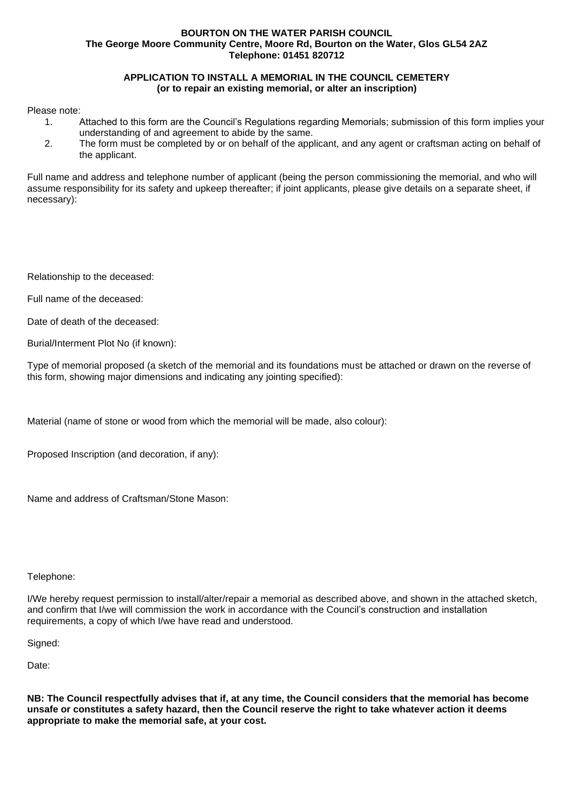## **BOURTON ON THE WATER PARISH COUNCIL The George Moore Community Centre, Moore Rd, Bourton on the Water, Glos GL54 2AZ Telephone: 01451 820712**

## **APPLICATION TO INSTALL A MEMORIAL IN THE COUNCIL CEMETERY (or to repair an existing memorial, or alter an inscription)**

## Please note:

- 1. Attached to this form are the Council's Regulations regarding Memorials; submission of this form implies your understanding of and agreement to abide by the same.
- 2. The form must be completed by or on behalf of the applicant, and any agent or craftsman acting on behalf of the applicant.

Full name and address and telephone number of applicant (being the person commissioning the memorial, and who will assume responsibility for its safety and upkeep thereafter; if joint applicants, please give details on a separate sheet, if necessary):

Relationship to the deceased:

Full name of the deceased:

Date of death of the deceased:

Burial/Interment Plot No (if known):

Type of memorial proposed (a sketch of the memorial and its foundations must be attached or drawn on the reverse of this form, showing major dimensions and indicating any jointing specified):

Material (name of stone or wood from which the memorial will be made, also colour):

Proposed Inscription (and decoration, if any):

Name and address of Craftsman/Stone Mason:

## Telephone:

I/We hereby request permission to install/alter/repair a memorial as described above, and shown in the attached sketch, and confirm that I/we will commission the work in accordance with the Council's construction and installation requirements, a copy of which I/we have read and understood.

Signed:

Date:

**NB: The Council respectfully advises that if, at any time, the Council considers that the memorial has become unsafe or constitutes a safety hazard, then the Council reserve the right to take whatever action it deems appropriate to make the memorial safe, at your cost.**